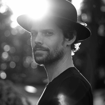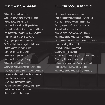# Be The Change

Where do we go from here And how do we move beyond the pain Where do we go from here And how do we bridge this great divide Like watching for a field of flowers to bloom It's gonna take time to heal these wounds From the trail of tears in our wake To younger generations undefiled We'll be a lighthouse to guide their minds Be the change we want to see Come on let's be the change Where do we go from here And how do we let go of the past Where do we go from here And when will we learn from our mistakes Like watching for a field of flowers to bloom It's gonna take time to heal these wounds From the trail of tears in our wake To younger generations undefiled We'll be a lighthouse to guide their minds Be the change we want to see Come on let's be the change

# I'll Be Your Radio

I don't have to be your everything I would be content just to occupy your head And I don't have to be your sun and moon As long as you don't mind that I provide A soundtrack to your mood I'll be your radio everywhere you go (x3) Your personal stereo for you and you alone I don't have to be anywhere that you can see me I would be alright if just to find Some shoulder space where I Could whisper in your ear And tell you all the things you deserve to hear What ought to be a thankless job But just to be close to you's reward enough I'll be your radio everywhere you go (x3) Your personal stereo for you and you alone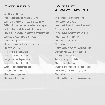#### **BATTLEFIELD**

A soldier wouldn't go

Marching off to battle without a sword And the mason couldn't hope to shape his stone Without the hammer that he had come to rely on A student wouldn't show up for the final test Before they'd even had a chance to peruse the text And a sailor wouldn't take to the sea Before plotting his course Or run the risk of arrival to a foreign port But don't you see Your mind is the battlefield Your mind is the battlefield And your tongue is your sword Your mind is the battlefield And your compass is your heart You don't wanna be Unequipped, unprepared Unrehearsed, unaware

# Love Isn't Always Enough

Oh the time has come for you and I To go our separate ways I need you to know that you will always be Precious to me babe Oh we tried and we tried and we tried To fulfill each other's needs To the best of our ability Tried so hard But the reality is love isn't always enough Every day with you I'm just learning Learning about myself If only I could go back in time I'd make everything right Oh, I tried and I tried and I tried and I tried To give you all the love I have inside Tried so hard But the reality is love isn't always enough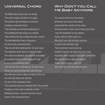# Universal Chord

The Milky Way hovers over our heads The earth rotates and there it is again The planets spin vibrations in harmony Creating a universal chord That someday we will all be listening for The babbling brooke sings us a melody That soothes the soul, sends you into a dream The pteridophytes have a frequency It's part of the universal chord That we will all be listening for, for ever more The shadows draw back to reveal the light The cold is humbled by the warmth it provides The patient wisdom in the elephant's eye Is part of the universal chord That we will all be listening for, for ever more Along you came proclaiming I was the one And with you came a light as bright as the sun Our love will vibrate for eternity It's part of the universal chord The sound we hear as raindrops fall to the ground Predators of the night contribute a howl Galloping horses, unaware that they found A part in the universal chord

### Why Don't You Call Me Baby Anymore

You used to call me on the phone Whenever you were home alone Just to feel the comfort of my voice And now when I reach out to touch your hand I see the hesitation in your glance Honey, tell me what's goin' on Why don't you call me baby anymore It used to be sometime ago That anywhere I went you'd go Couldn't stand to be away from your man And now when I reach out to spend some time You quickly find a reason to decline Honey, tell me what's goin' on Why don't you call me baby anymore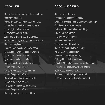### **EVALEE**

Oh, Evalee, darlin' won't you dance with me Under the moonlight Where the stars can shine upon your eyes Evalee, honey won't you dance with me I'm not tryin' to take you home I just wanna hold your hand And pretend that I'm your man, Evalee Oh, Evalee, honey won't you dance with me Until this song is done Though I pray the end will never come Evalee, darlin' won't you dance with me I'm not tryin' to take you home I just wanna make you smile And be close to you awhile, Evalee I know I've got two left feet But baby won't you dance with me I know I've got two left feet But won't you dance with me, Evalee I know I've got two left feet But darlin' won't you dance with me I know I've got two left feet But baby won't you dance...with me

### **CONNECTED**

It's so strange, the way That people choose to live today Living our lives in pursuit of acquisition of things And it seems to be our destiny To interrupt the natural order of things Like a dam to a stream The flow we only impede We're so disconnected Given our current trajectory It's unlikely to bridge this disparity Yet we yearn so desperately To cleave to a spiritual battery Gotta get back to the garden again Stop tryin' to find replacements for the genuine This artificial reality is warm and inviting But it keeps us disconnected So come on y'all, let's get connected Don't you know we gotta get connected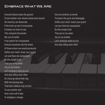### EMBRACE WHAT WE ARE

Innocent blood soaks the ground Of yet another man whose hands were bound His memory we desecrate If the truth we don't emancipate It breaks my heart to see This rampant inhumanity We can do better If we search for compassion And put ourselves into the shoes Of those whom we would persecute Soften your heart, lower your quard Let your fears be vanquished By this simple truth That you're my sister You're my brother Let's embrace what we are And stop killing each other So many go about their day With the looming fear That their children may not live To see another year How much will it take To instigate a change

See one another as family Put down the guns and disengage Soften your heart, lower your guard Let your fears be vanquished By this simple truth That you're my sister You're my brother Let's embrace what we are And stop killing each other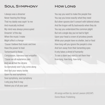#### Soul Symphony

I always was a dreamer Never hearing the things That my daddy was sayin' to me And musically inclined My mind was always preoccupied Dreamin' of the day When the music I make Might affect a change 'Cause I believe that music and love Have the power to heal Tantamount to these Compassion, tolerance and empathy 'Cause we all experience pain And we all feel the strains So everybody won't you come along And rest your weary bones Upon my soul symphony Soul symphony, soul symphony I only pray that it may Relieve you of all your pain

### How Long

You say you want to make the people free You say you know exactly what they need But silver spoons don't consort with tattered shoes And the trogon will fly backwards when they do You say you understand the common plight But not a single day you've had to fight Upon your head a crown of priceless jewels While your people have no shelter, bed or food How long will you ignore the people's cries And turn away from their lamenting eyes It only takes a shred of humanity To see a slave and want to set them free How long, how long, how long

All songs written by Jarrod Lawson (ASCAP) Dome Music Publishing